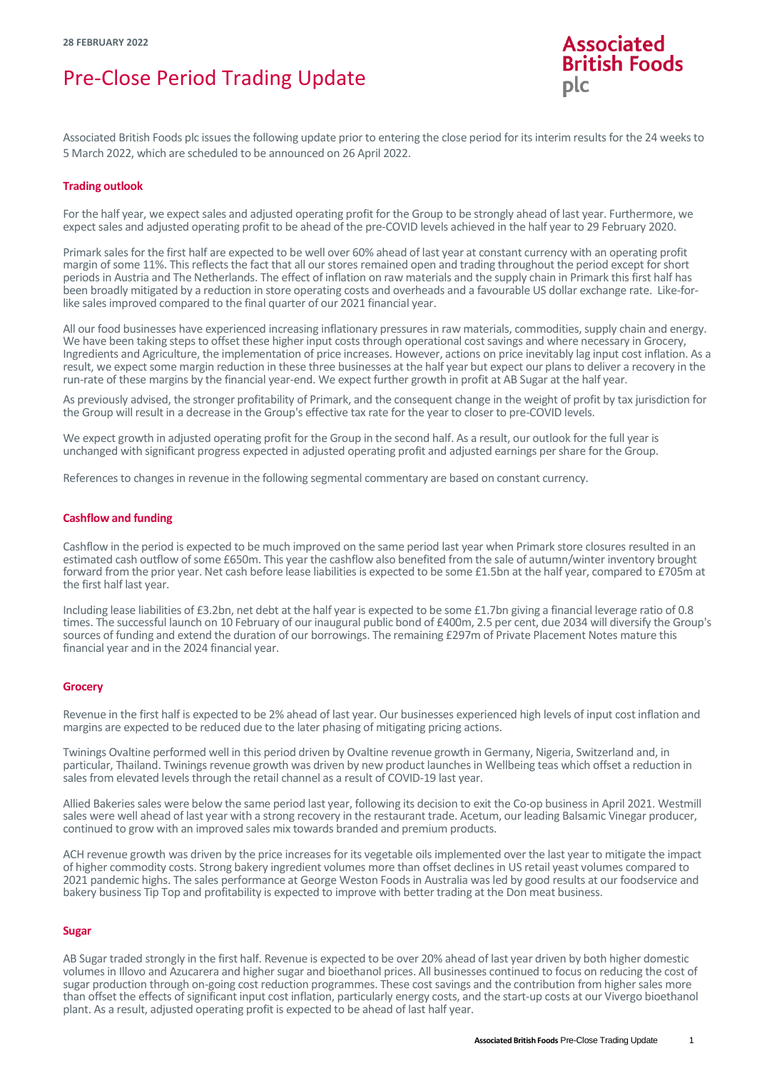# Pre-Close Period Trading Update



Associated British Foods plc issues the following update prior to entering the close period for its interim results for the 24 weeks to 5 March 2022, which are scheduled to be announced on 26 April 2022.

# **Trading outlook**

For the half year, we expect sales and adjusted operating profit for the Group to be strongly ahead of last year. Furthermore, we expect sales and adjusted operating profit to be ahead of the pre-COVID levels achieved in the half year to 29 February 2020.

Primark sales for the first half are expected to be well over 60% ahead of last year at constant currency with an operating profit margin ofsome 11%. This reflects the fact that all our stores remained open and trading throughout the period except for short periods in Austria and The Netherlands. The effect of inflation on raw materials and the supply chain in Primark this first half has been broadly mitigated by a reduction in store operating costs and overheads and a favourable US dollar exchange rate. Like-forlike sales improved compared to the final quarter of our 2021 financial year.

All our food businesses have experienced increasing inflationary pressures in raw materials, commodities, supply chain and energy. We have been taking steps to offset these higher input costs through operational cost savings and where necessary in Grocery, Ingredients and Agriculture, the implementation of price increases. However, actions on price inevitably lag input cost inflation. As a result, we expect some margin reduction in these three businesses at the half year but expect our plans to deliver a recovery in the run-rate of these margins by the financial year-end. We expect further growth in profit at AB Sugar at the half year.

As previously advised, the stronger profitability of Primark, and the consequent change in the weight of profit by tax jurisdiction for the Group will result in a decrease in the Group's effective tax rate for the year to closer to pre-COVID levels.

We expect growth in adjusted operating profit for the Group in the second half. As a result, our outlook for the full year is unchanged with significant progress expected in adjusted operating profit and adjusted earnings per share for the Group.

References to changes in revenue in the following segmental commentary are based on constant currency.

#### **Cashflow and funding**

Cashflow in the period is expected to be much improved on the same period last year when Primark store closures resulted in an estimated cash outflow of some £650m. This year the cashflow also benefited from the sale of autumn/winter inventory brought forward from the prior year. Net cash before lease liabilities is expected to be some £1.5bn at the half year, compared to £705m at the first half last year.

Including lease liabilities of £3.2bn, net debt at the half year is expected to be some £1.7bn giving a financial leverage ratio of 0.8 times. The successful launch on 10 February of our inaugural public bond of £400m, 2.5 per cent, due 2034 will diversify the Group's sources of funding and extend the duration of our borrowings. The remaining £297m of Private Placement Notes mature this financial year and in the 2024 financial year.

## **Grocery**

Revenue in the first half is expected to be 2% ahead of last year. Our businesses experienced high levels of input cost inflation and margins are expected to be reduced due to the later phasing of mitigating pricing actions.

Twinings Ovaltine performed well in this period driven by Ovaltine revenue growth in Germany, Nigeria, Switzerland and, in particular, Thailand. Twinings revenue growth was driven by new product launches in Wellbeing teas which offset a reduction in sales from elevated levels through the retail channel as a result of COVID-19 last year.

Allied Bakeries sales were below the same period last year, following its decision to exit the Co-op business in April 2021. Westmill sales were well ahead of last year with a strong recovery in the restaurant trade. Acetum, our leading Balsamic Vinegar producer, continued to grow with an improved sales mix towards branded and premium products.

ACH revenue growth was driven by the price increases for its vegetable oils implemented over the last year to mitigate the impact of higher commodity costs. Strong bakery ingredient volumes more than offset declines in US retail yeast volumes compared to 2021 pandemic highs. The sales performance at George Weston Foods in Australia was led by good results at our foodservice and bakery business Tip Top and profitability is expected to improve with better trading at the Don meat business.

#### **Sugar**

AB Sugar traded strongly in the first half. Revenue is expected to be over 20% ahead of last year driven by both higher domestic volumes in Illovo and Azucarera and higher sugar and bioethanol prices. All businesses continued to focus on reducing the cost of sugar production through on-going cost reduction programmes. These cost savings and the contribution from higher sales more than offset the effects of significant input cost inflation, particularly energy costs, and the start-up costs at our Vivergo bioethanol plant. As a result, adjusted operating profit is expected to be ahead of last half year.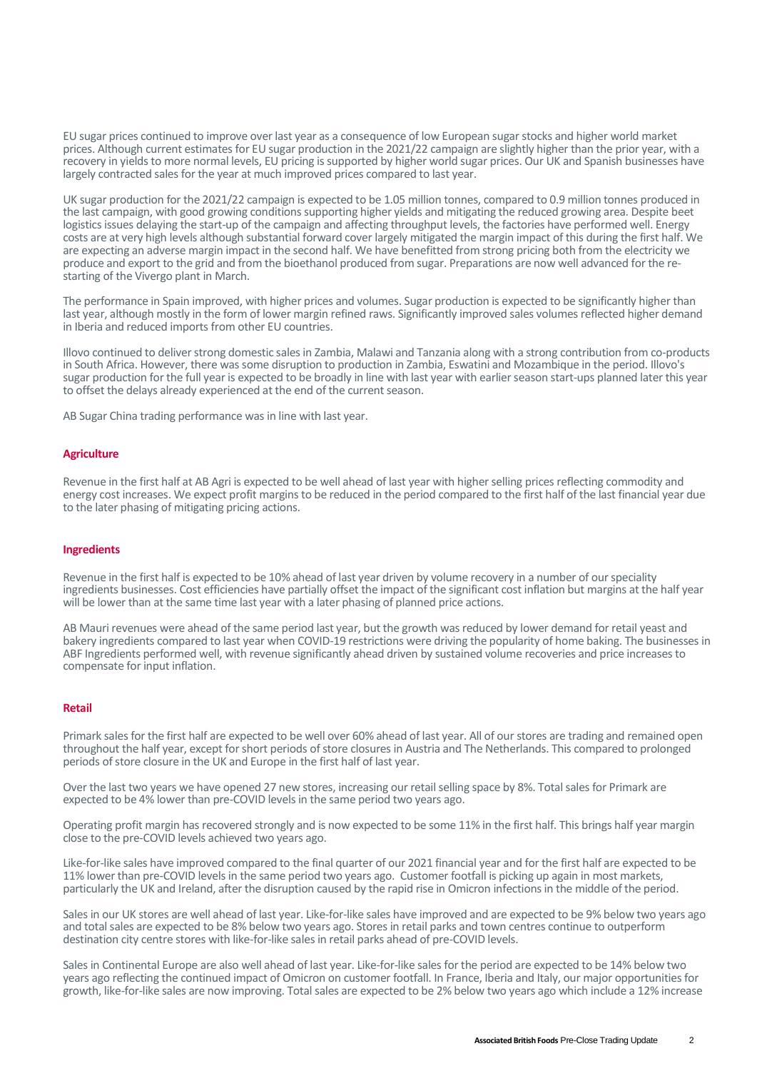EU sugar prices continued to improve over last year as a consequence of low European sugar stocks and higher world market prices. Although current estimates for EU sugar production in the 2021/22 campaign are slightly higher than the prior year, with a recovery in yields to more normal levels, EU pricing is supported by higher world sugar prices. Our UK and Spanish businesses have largely contracted sales for the year at much improved prices compared to last year.

UK sugar production for the 2021/22 campaign is expected to be 1.05 million tonnes, compared to 0.9 million tonnes produced in the last campaign, with good growing conditions supporting higher yields and mitigating the reduced growing area. Despite beet logistics issues delaying the start-up of the campaign and affecting throughput levels, the factories have performed well. Energy costs are at very high levels although substantial forward cover largely mitigated the margin impact of this during the first half. We are expecting an adverse margin impact in the second half. We have benefitted from strong pricing both from the electricity we produce and export to the grid and from the bioethanol produced from sugar. Preparations are now well advanced for the restarting of the Vivergo plant in March.

The performance in Spain improved, with higher prices and volumes. Sugar production is expected to be significantly higher than last year, although mostly in the form of lower margin refined raws. Significantly improved sales volumes reflected higher demand in Iberia and reduced imports from other EU countries.

Illovo continued to deliver strong domestic sales in Zambia, Malawi and Tanzania along with a strong contribution from co-products in South Africa. However, there was some disruption to production in Zambia, Eswatini and Mozambique in the period. Illovo's sugar production for the full year is expected to be broadly in line with last year with earlier season start-ups planned later this year to offset the delays already experienced at the end of the current season.

AB Sugar China trading performance was in line with last year.

#### **Agriculture**

Revenue in the first half at AB Agri is expected to be well ahead of last year with higher selling prices reflecting commodity and energy cost increases. We expect profit margins to be reduced in the period compared to the first half of the last financial year due to the later phasing of mitigating pricing actions.

### **Ingredients**

Revenue in the first half is expected to be 10% ahead of last year driven by volume recovery in a number of our speciality ingredients businesses. Cost efficiencies have partially offset the impact of the significant cost inflation but margins at the half year will be lower than at the same time last year with a later phasing of planned price actions.

AB Mauri revenues were ahead of the same period last year, but the growth was reduced by lower demand for retail yeast and bakery ingredients compared to last year when COVID-19 restrictions were driving the popularity of home baking. The businesses in ABF Ingredients performed well, with revenue significantly ahead driven by sustained volume recoveries and price increases to compensate for input inflation.

# **Retail**

Primark sales for the first half are expected to be well over 60% ahead of last year. All of our stores are trading and remained open throughout the half year, except for short periods of store closures in Austria and The Netherlands. This compared to prolonged periods of store closure in the UK and Europe in the first half of last year.

Over the last two years we have opened 27 new stores, increasing our retail selling space by 8%. Total sales for Primark are expected to be 4% lower than pre-COVID levels in the same period two years ago.

Operating profit margin has recovered strongly and is now expected to be some 11% in the first half. This brings half year margin close to the pre-COVID levels achieved two years ago.

Like-for-like sales have improved compared to the final quarter of our 2021 financial year and for the first half are expected to be 11% lower than pre-COVID levels in the same period two years ago. Customer footfall is picking up again in most markets, particularly the UK and Ireland, after the disruption caused by the rapid rise in Omicron infectionsin the middle of the period.

Sales in our UK stores are well ahead of last year. Like-for-like sales have improved and are expected to be 9% below two years ago and total sales are expected to be 8% below two years ago. Stores in retail parks and town centres continue to outperform destination city centre stores with like-for-like sales in retail parks ahead of pre-COVID levels.

Sales in Continental Europe are also well ahead of last year. Like-for-like sales for the period are expected to be 14% below two years ago reflecting the continued impact of Omicron on customer footfall. In France, Iberia and Italy, our major opportunities for growth, like-for-like sales are now improving. Total sales are expected to be 2% below two years ago which include a 12% increase